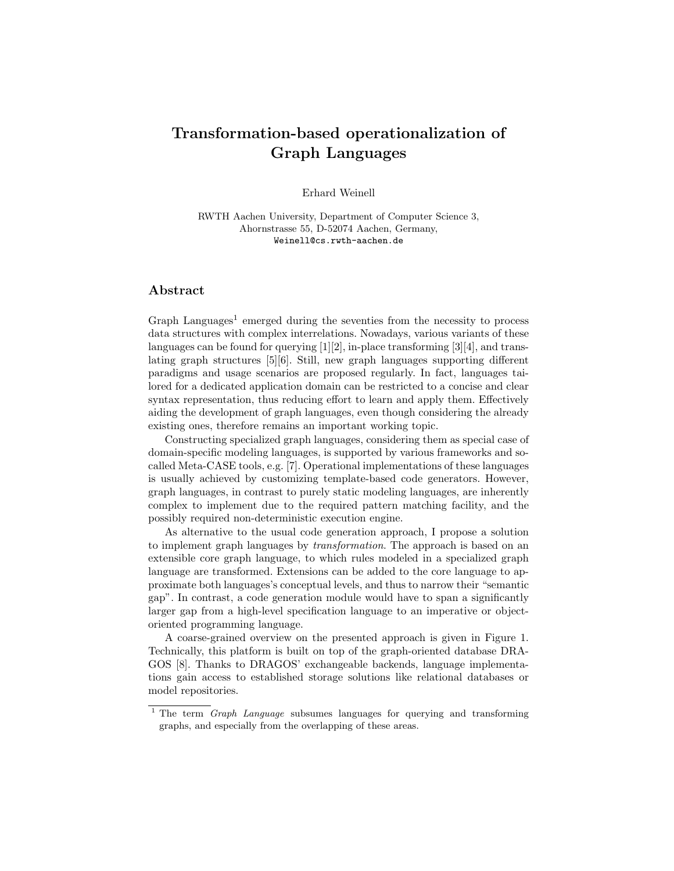## Transformation-based operationalization of Graph Languages

Erhard Weinell

RWTH Aachen University, Department of Computer Science 3, Ahornstrasse 55, D-52074 Aachen, Germany, Weinell@cs.rwth-aachen.de

## Abstract

Graph Languages<sup>1</sup> emerged during the seventies from the necessity to process data structures with complex interrelations. Nowadays, various variants of these languages can be found for querying  $[1][2]$ , in-place transforming  $[3][4]$ , and translating graph structures [5][6]. Still, new graph languages supporting different paradigms and usage scenarios are proposed regularly. In fact, languages tailored for a dedicated application domain can be restricted to a concise and clear syntax representation, thus reducing effort to learn and apply them. Effectively aiding the development of graph languages, even though considering the already existing ones, therefore remains an important working topic.

Constructing specialized graph languages, considering them as special case of domain-specific modeling languages, is supported by various frameworks and socalled Meta-CASE tools, e.g. [7]. Operational implementations of these languages is usually achieved by customizing template-based code generators. However, graph languages, in contrast to purely static modeling languages, are inherently complex to implement due to the required pattern matching facility, and the possibly required non-deterministic execution engine.

As alternative to the usual code generation approach, I propose a solution to implement graph languages by transformation. The approach is based on an extensible core graph language, to which rules modeled in a specialized graph language are transformed. Extensions can be added to the core language to approximate both languages's conceptual levels, and thus to narrow their "semantic gap". In contrast, a code generation module would have to span a significantly larger gap from a high-level specification language to an imperative or objectoriented programming language.

A coarse-grained overview on the presented approach is given in Figure 1. Technically, this platform is built on top of the graph-oriented database DRA-GOS [8]. Thanks to DRAGOS' exchangeable backends, language implementations gain access to established storage solutions like relational databases or model repositories.

<sup>&</sup>lt;sup>1</sup> The term *Graph Language* subsumes languages for querying and transforming graphs, and especially from the overlapping of these areas.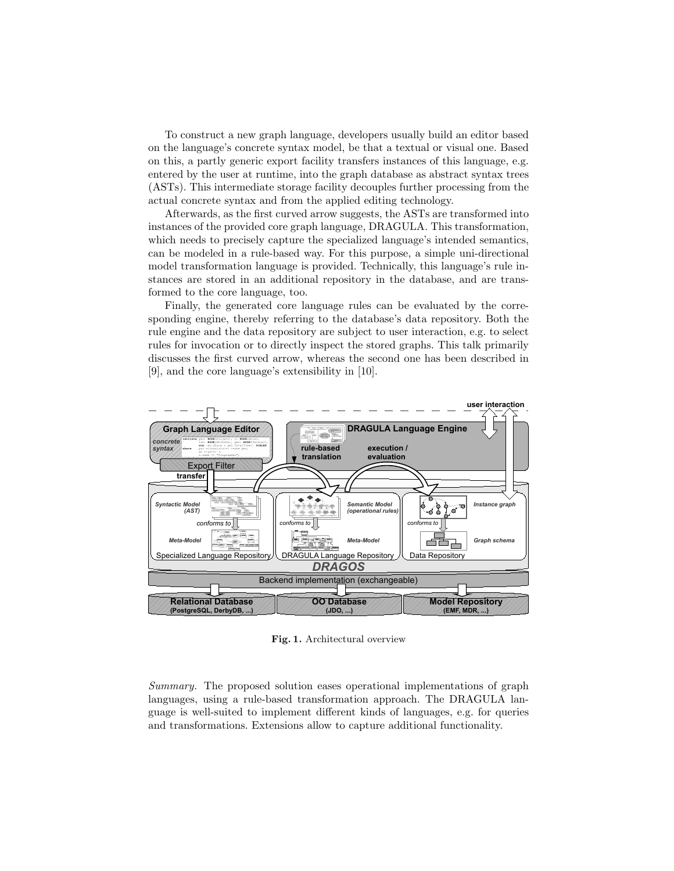To construct a new graph language, developers usually build an editor based on the language's concrete syntax model, be that a textual or visual one. Based on this, a partly generic export facility transfers instances of this language, e.g. entered by the user at runtime, into the graph database as abstract syntax trees (ASTs). This intermediate storage facility decouples further processing from the actual concrete syntax and from the applied editing technology.

Afterwards, as the first curved arrow suggests, the ASTs are transformed into instances of the provided core graph language, DRAGULA. This transformation, which needs to precisely capture the specialized language's intended semantics, can be modeled in a rule-based way. For this purpose, a simple uni-directional model transformation language is provided. Technically, this language's rule instances are stored in an additional repository in the database, and are transformed to the core language, too.

Finally, the generated core language rules can be evaluated by the corresponding engine, thereby referring to the database's data repository. Both the rule engine and the data repository are subject to user interaction, e.g. to select rules for invocation or to directly inspect the stored graphs. This talk primarily discusses the first curved arrow, whereas the second one has been described in [9], and the core language's extensibility in [10].



Fig. 1. Architectural overview

Summary. The proposed solution eases operational implementations of graph languages, using a rule-based transformation approach. The DRAGULA language is well-suited to implement different kinds of languages, e.g. for queries and transformations. Extensions allow to capture additional functionality.